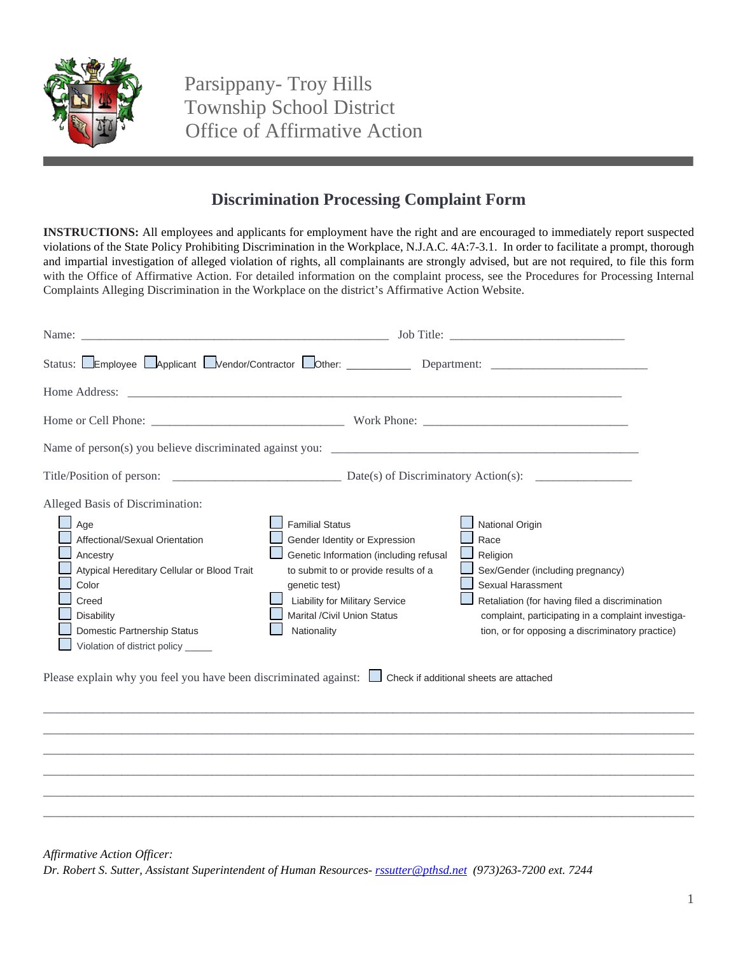

Parsippany- Troy Hills Township School District Office of Affirmative Action

## **Discrimination Processing Complaint Form**

**INSTRUCTIONS:** All employees and applicants for employment have the right and are encouraged to immediately report suspected violations of the State Policy Prohibiting Discrimination in the Workplace, N.J.A.C. 4A:7-3.1. In order to facilitate a prompt, thorough and impartial investigation of alleged violation of rights, all complainants are strongly advised, but are not required, to file this form with the Office of Affirmative Action. For detailed information on the complaint process, see the Procedures for Processing Internal Complaints Alleging Discrimination in the Workplace on the district's Affirmative Action Website.

| Status: Employee Applicant Mendor/Contractor Other: Department:                                                                                                                                                                                                                                                                                              |                                                                                                                                                                                                                                                   |                                                                                                                                                                                                                                                          |
|--------------------------------------------------------------------------------------------------------------------------------------------------------------------------------------------------------------------------------------------------------------------------------------------------------------------------------------------------------------|---------------------------------------------------------------------------------------------------------------------------------------------------------------------------------------------------------------------------------------------------|----------------------------------------------------------------------------------------------------------------------------------------------------------------------------------------------------------------------------------------------------------|
|                                                                                                                                                                                                                                                                                                                                                              |                                                                                                                                                                                                                                                   |                                                                                                                                                                                                                                                          |
|                                                                                                                                                                                                                                                                                                                                                              |                                                                                                                                                                                                                                                   |                                                                                                                                                                                                                                                          |
| Name of person(s) you believe discriminated against you: $\Box$                                                                                                                                                                                                                                                                                              |                                                                                                                                                                                                                                                   |                                                                                                                                                                                                                                                          |
|                                                                                                                                                                                                                                                                                                                                                              |                                                                                                                                                                                                                                                   |                                                                                                                                                                                                                                                          |
| Alleged Basis of Discrimination:<br>Age<br>Affectional/Sexual Orientation<br>Ancestry<br>Atypical Hereditary Cellular or Blood Trait<br>Color<br>Creed<br><b>Disability</b><br>Domestic Partnership Status<br>Violation of district policy _____<br>Please explain why you feel you have been discriminated against: Check if additional sheets are attached | <b>Familial Status</b><br>Gender Identity or Expression<br>Genetic Information (including refusal<br>to submit to or provide results of a<br>genetic test)<br><b>Liability for Military Service</b><br>Marital /Civil Union Status<br>Nationality | National Origin<br>Race<br>Religion<br>Sex/Gender (including pregnancy)<br>Sexual Harassment<br>Retaliation (for having filed a discrimination<br>complaint, participating in a complaint investiga-<br>tion, or for opposing a discriminatory practice) |
|                                                                                                                                                                                                                                                                                                                                                              |                                                                                                                                                                                                                                                   |                                                                                                                                                                                                                                                          |
|                                                                                                                                                                                                                                                                                                                                                              |                                                                                                                                                                                                                                                   |                                                                                                                                                                                                                                                          |
|                                                                                                                                                                                                                                                                                                                                                              |                                                                                                                                                                                                                                                   |                                                                                                                                                                                                                                                          |
|                                                                                                                                                                                                                                                                                                                                                              |                                                                                                                                                                                                                                                   |                                                                                                                                                                                                                                                          |
|                                                                                                                                                                                                                                                                                                                                                              |                                                                                                                                                                                                                                                   |                                                                                                                                                                                                                                                          |

\_\_\_\_\_\_\_\_\_\_\_\_\_\_\_\_\_\_\_\_\_\_\_\_\_\_\_\_\_\_\_\_\_\_\_\_\_\_\_\_\_\_\_\_\_\_\_\_\_\_\_\_\_\_\_\_\_\_\_\_\_\_\_\_\_\_\_\_\_\_\_\_\_\_\_\_\_\_\_\_\_\_\_\_\_\_\_\_\_\_\_\_\_\_\_\_\_\_\_\_\_\_\_\_\_\_\_\_

*Affirmative Action Officer:* 

*Dr. Robert S. Sutter, Assistant Superintendent of Human Resources- [rssutter@pthsd.net](mailto:rssutter@pthsd.net) (973)263-7200 ext. 7244*